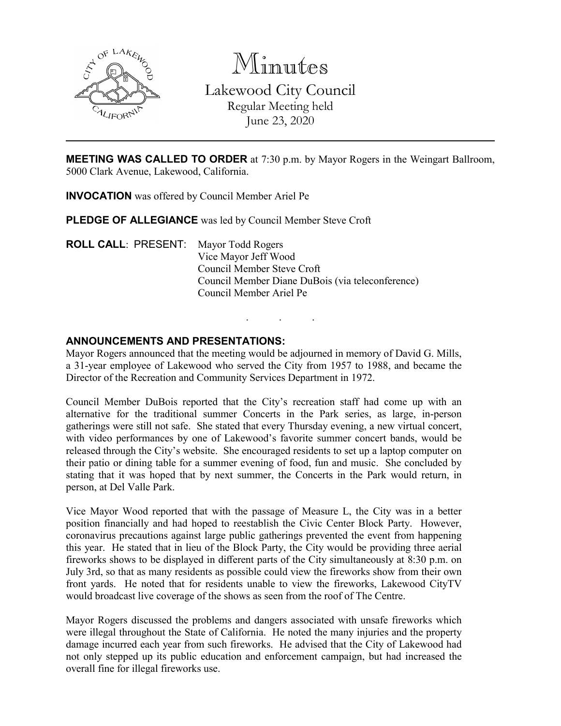

Minutes Lakewood City Council Regular Meeting held June 23, 2020

**MEETING WAS CALLED TO ORDER** at 7:30 p.m. by Mayor Rogers in the Weingart Ballroom, 5000 Clark Avenue, Lakewood, California.

**INVOCATION** was offered by Council Member Ariel Pe

**PLEDGE OF ALLEGIANCE** was led by Council Member Steve Croft

**ROLL CALL**: PRESENT: Mayor Todd Rogers Vice Mayor Jeff Wood Council Member Steve Croft Council Member Diane DuBois (via teleconference) Council Member Ariel Pe

#### **ANNOUNCEMENTS AND PRESENTATIONS:**

Mayor Rogers announced that the meeting would be adjourned in memory of David G. Mills, a 31-year employee of Lakewood who served the City from 1957 to 1988, and became the Director of the Recreation and Community Services Department in 1972.

. . .

Council Member DuBois reported that the City's recreation staff had come up with an alternative for the traditional summer Concerts in the Park series, as large, in-person gatherings were still not safe. She stated that every Thursday evening, a new virtual concert, with video performances by one of Lakewood's favorite summer concert bands, would be released through the City's website. She encouraged residents to set up a laptop computer on their patio or dining table for a summer evening of food, fun and music. She concluded by stating that it was hoped that by next summer, the Concerts in the Park would return, in person, at Del Valle Park.

Vice Mayor Wood reported that with the passage of Measure L, the City was in a better position financially and had hoped to reestablish the Civic Center Block Party. However, coronavirus precautions against large public gatherings prevented the event from happening this year. He stated that in lieu of the Block Party, the City would be providing three aerial fireworks shows to be displayed in different parts of the City simultaneously at 8:30 p.m. on July 3rd, so that as many residents as possible could view the fireworks show from their own front yards. He noted that for residents unable to view the fireworks, Lakewood CityTV would broadcast live coverage of the shows as seen from the roof of The Centre.

Mayor Rogers discussed the problems and dangers associated with unsafe fireworks which were illegal throughout the State of California. He noted the many injuries and the property damage incurred each year from such fireworks. He advised that the City of Lakewood had not only stepped up its public education and enforcement campaign, but had increased the overall fine for illegal fireworks use.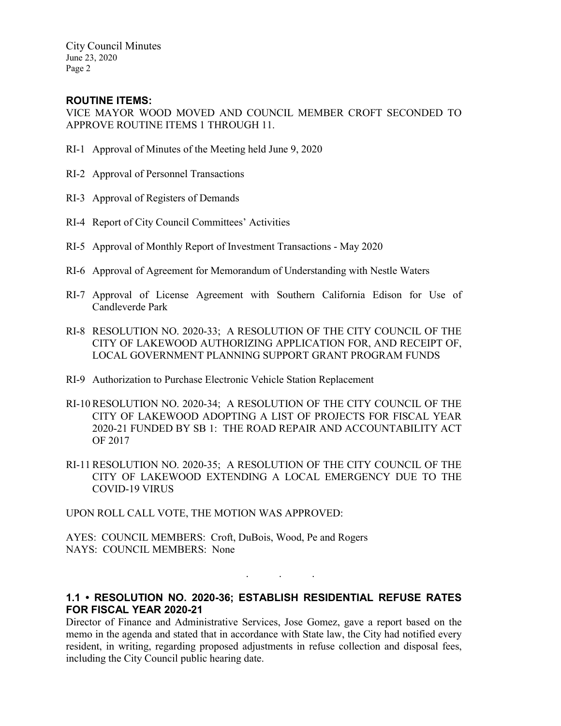City Council Minutes June 23, 2020 Page 2

## **ROUTINE ITEMS:**

VICE MAYOR WOOD MOVED AND COUNCIL MEMBER CROFT SECONDED TO APPROVE ROUTINE ITEMS 1 THROUGH 11.

- RI-1 Approval of Minutes of the Meeting held June 9, 2020
- RI-2 Approval of Personnel Transactions
- RI-3 Approval of Registers of Demands
- RI-4 Report of City Council Committees' Activities
- RI-5 Approval of Monthly Report of Investment Transactions May 2020
- RI-6 Approval of Agreement for Memorandum of Understanding with Nestle Waters
- RI-7 Approval of License Agreement with Southern California Edison for Use of Candleverde Park
- RI-8 RESOLUTION NO. 2020-33; A RESOLUTION OF THE CITY COUNCIL OF THE CITY OF LAKEWOOD AUTHORIZING APPLICATION FOR, AND RECEIPT OF, LOCAL GOVERNMENT PLANNING SUPPORT GRANT PROGRAM FUNDS
- RI-9 Authorization to Purchase Electronic Vehicle Station Replacement
- RI-10 RESOLUTION NO. 2020-34; A RESOLUTION OF THE CITY COUNCIL OF THE CITY OF LAKEWOOD ADOPTING A LIST OF PROJECTS FOR FISCAL YEAR 2020-21 FUNDED BY SB 1: THE ROAD REPAIR AND ACCOUNTABILITY ACT OF 2017
- RI-11 RESOLUTION NO. 2020-35; A RESOLUTION OF THE CITY COUNCIL OF THE CITY OF LAKEWOOD EXTENDING A LOCAL EMERGENCY DUE TO THE COVID-19 VIRUS

UPON ROLL CALL VOTE, THE MOTION WAS APPROVED:

AYES: COUNCIL MEMBERS: Croft, DuBois, Wood, Pe and Rogers NAYS: COUNCIL MEMBERS: None

# **1.1 • RESOLUTION NO. 2020-36; ESTABLISH RESIDENTIAL REFUSE RATES FOR FISCAL YEAR 2020-21**

. . .

Director of Finance and Administrative Services, Jose Gomez, gave a report based on the memo in the agenda and stated that in accordance with State law, the City had notified every resident, in writing, regarding proposed adjustments in refuse collection and disposal fees, including the City Council public hearing date.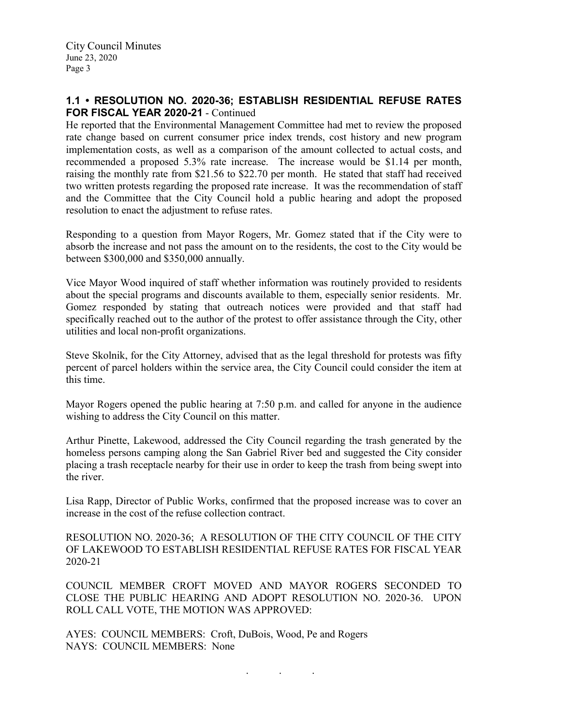## **1.1 • RESOLUTION NO. 2020-36; ESTABLISH RESIDENTIAL REFUSE RATES FOR FISCAL YEAR 2020-21** - Continued

He reported that the Environmental Management Committee had met to review the proposed rate change based on current consumer price index trends, cost history and new program implementation costs, as well as a comparison of the amount collected to actual costs, and recommended a proposed 5.3% rate increase. The increase would be \$1.14 per month, raising the monthly rate from \$21.56 to \$22.70 per month. He stated that staff had received two written protests regarding the proposed rate increase. It was the recommendation of staff and the Committee that the City Council hold a public hearing and adopt the proposed resolution to enact the adjustment to refuse rates.

Responding to a question from Mayor Rogers, Mr. Gomez stated that if the City were to absorb the increase and not pass the amount on to the residents, the cost to the City would be between \$300,000 and \$350,000 annually.

Vice Mayor Wood inquired of staff whether information was routinely provided to residents about the special programs and discounts available to them, especially senior residents. Mr. Gomez responded by stating that outreach notices were provided and that staff had specifically reached out to the author of the protest to offer assistance through the City, other utilities and local non-profit organizations.

Steve Skolnik, for the City Attorney, advised that as the legal threshold for protests was fifty percent of parcel holders within the service area, the City Council could consider the item at this time.

Mayor Rogers opened the public hearing at 7:50 p.m. and called for anyone in the audience wishing to address the City Council on this matter.

Arthur Pinette, Lakewood, addressed the City Council regarding the trash generated by the homeless persons camping along the San Gabriel River bed and suggested the City consider placing a trash receptacle nearby for their use in order to keep the trash from being swept into the river.

Lisa Rapp, Director of Public Works, confirmed that the proposed increase was to cover an increase in the cost of the refuse collection contract.

RESOLUTION NO. 2020-36; A RESOLUTION OF THE CITY COUNCIL OF THE CITY OF LAKEWOOD TO ESTABLISH RESIDENTIAL REFUSE RATES FOR FISCAL YEAR 2020-21

COUNCIL MEMBER CROFT MOVED AND MAYOR ROGERS SECONDED TO CLOSE THE PUBLIC HEARING AND ADOPT RESOLUTION NO. 2020-36. UPON ROLL CALL VOTE, THE MOTION WAS APPROVED:

. . .

AYES: COUNCIL MEMBERS: Croft, DuBois, Wood, Pe and Rogers NAYS: COUNCIL MEMBERS: None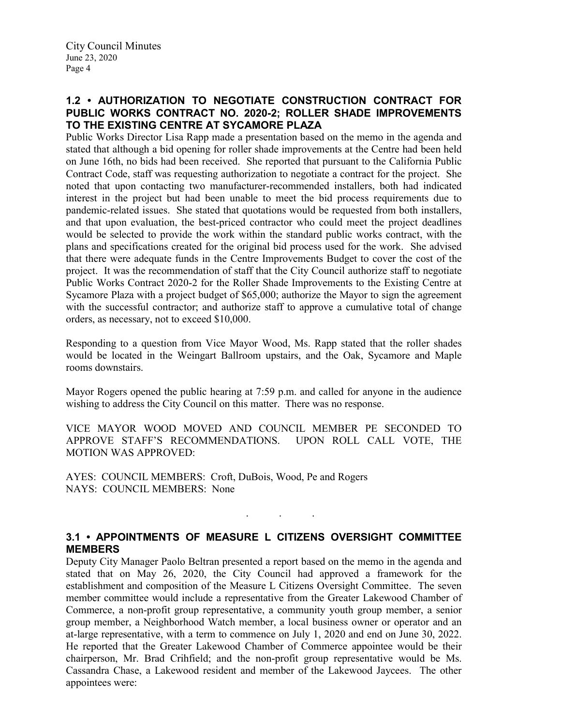# **1.2 • AUTHORIZATION TO NEGOTIATE CONSTRUCTION CONTRACT FOR PUBLIC WORKS CONTRACT NO. 2020-2; ROLLER SHADE IMPROVEMENTS TO THE EXISTING CENTRE AT SYCAMORE PLAZA**

Public Works Director Lisa Rapp made a presentation based on the memo in the agenda and stated that although a bid opening for roller shade improvements at the Centre had been held on June 16th, no bids had been received. She reported that pursuant to the California Public Contract Code, staff was requesting authorization to negotiate a contract for the project. She noted that upon contacting two manufacturer-recommended installers, both had indicated interest in the project but had been unable to meet the bid process requirements due to pandemic-related issues. She stated that quotations would be requested from both installers, and that upon evaluation, the best-priced contractor who could meet the project deadlines would be selected to provide the work within the standard public works contract, with the plans and specifications created for the original bid process used for the work. She advised that there were adequate funds in the Centre Improvements Budget to cover the cost of the project. It was the recommendation of staff that the City Council authorize staff to negotiate Public Works Contract 2020-2 for the Roller Shade Improvements to the Existing Centre at Sycamore Plaza with a project budget of \$65,000; authorize the Mayor to sign the agreement with the successful contractor; and authorize staff to approve a cumulative total of change orders, as necessary, not to exceed \$10,000.

Responding to a question from Vice Mayor Wood, Ms. Rapp stated that the roller shades would be located in the Weingart Ballroom upstairs, and the Oak, Sycamore and Maple rooms downstairs.

Mayor Rogers opened the public hearing at 7:59 p.m. and called for anyone in the audience wishing to address the City Council on this matter. There was no response.

VICE MAYOR WOOD MOVED AND COUNCIL MEMBER PE SECONDED TO APPROVE STAFF'S RECOMMENDATIONS. UPON ROLL CALL VOTE, THE MOTION WAS APPROVED:

AYES: COUNCIL MEMBERS: Croft, DuBois, Wood, Pe and Rogers NAYS: COUNCIL MEMBERS: None

# **3.1 • APPOINTMENTS OF MEASURE L CITIZENS OVERSIGHT COMMITTEE MEMBERS**

. . .

Deputy City Manager Paolo Beltran presented a report based on the memo in the agenda and stated that on May 26, 2020, the City Council had approved a framework for the establishment and composition of the Measure L Citizens Oversight Committee. The seven member committee would include a representative from the Greater Lakewood Chamber of Commerce, a non-profit group representative, a community youth group member, a senior group member, a Neighborhood Watch member, a local business owner or operator and an at-large representative, with a term to commence on July 1, 2020 and end on June 30, 2022. He reported that the Greater Lakewood Chamber of Commerce appointee would be their chairperson, Mr. Brad Crihfield; and the non-profit group representative would be Ms. Cassandra Chase, a Lakewood resident and member of the Lakewood Jaycees. The other appointees were: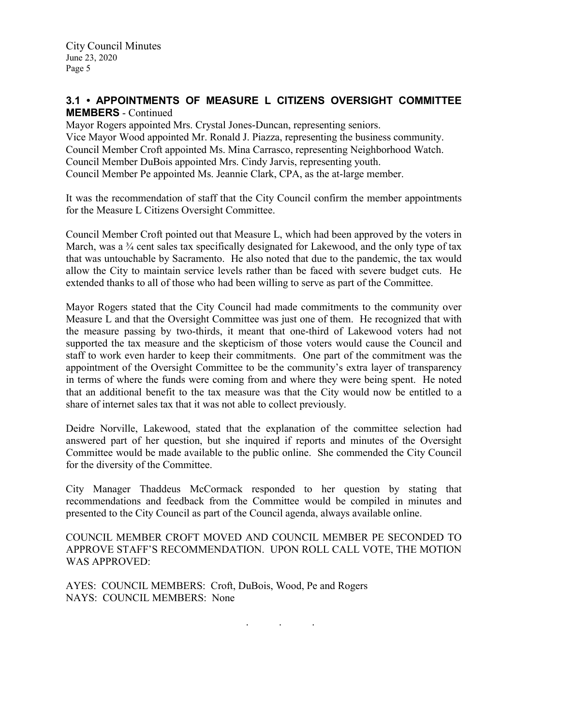# **3.1 • APPOINTMENTS OF MEASURE L CITIZENS OVERSIGHT COMMITTEE MEMBERS** - Continued

Mayor Rogers appointed Mrs. Crystal Jones-Duncan, representing seniors. Vice Mayor Wood appointed Mr. Ronald J. Piazza, representing the business community. Council Member Croft appointed Ms. Mina Carrasco, representing Neighborhood Watch. Council Member DuBois appointed Mrs. Cindy Jarvis, representing youth. Council Member Pe appointed Ms. Jeannie Clark, CPA, as the at-large member.

It was the recommendation of staff that the City Council confirm the member appointments for the Measure L Citizens Oversight Committee.

Council Member Croft pointed out that Measure L, which had been approved by the voters in March, was a  $\frac{3}{4}$  cent sales tax specifically designated for Lakewood, and the only type of tax that was untouchable by Sacramento. He also noted that due to the pandemic, the tax would allow the City to maintain service levels rather than be faced with severe budget cuts. He extended thanks to all of those who had been willing to serve as part of the Committee.

Mayor Rogers stated that the City Council had made commitments to the community over Measure L and that the Oversight Committee was just one of them. He recognized that with the measure passing by two-thirds, it meant that one-third of Lakewood voters had not supported the tax measure and the skepticism of those voters would cause the Council and staff to work even harder to keep their commitments. One part of the commitment was the appointment of the Oversight Committee to be the community's extra layer of transparency in terms of where the funds were coming from and where they were being spent. He noted that an additional benefit to the tax measure was that the City would now be entitled to a share of internet sales tax that it was not able to collect previously.

Deidre Norville, Lakewood, stated that the explanation of the committee selection had answered part of her question, but she inquired if reports and minutes of the Oversight Committee would be made available to the public online. She commended the City Council for the diversity of the Committee.

City Manager Thaddeus McCormack responded to her question by stating that recommendations and feedback from the Committee would be compiled in minutes and presented to the City Council as part of the Council agenda, always available online.

COUNCIL MEMBER CROFT MOVED AND COUNCIL MEMBER PE SECONDED TO APPROVE STAFF'S RECOMMENDATION. UPON ROLL CALL VOTE, THE MOTION WAS APPROVED:

AYES: COUNCIL MEMBERS: Croft, DuBois, Wood, Pe and Rogers NAYS: COUNCIL MEMBERS: None

. . .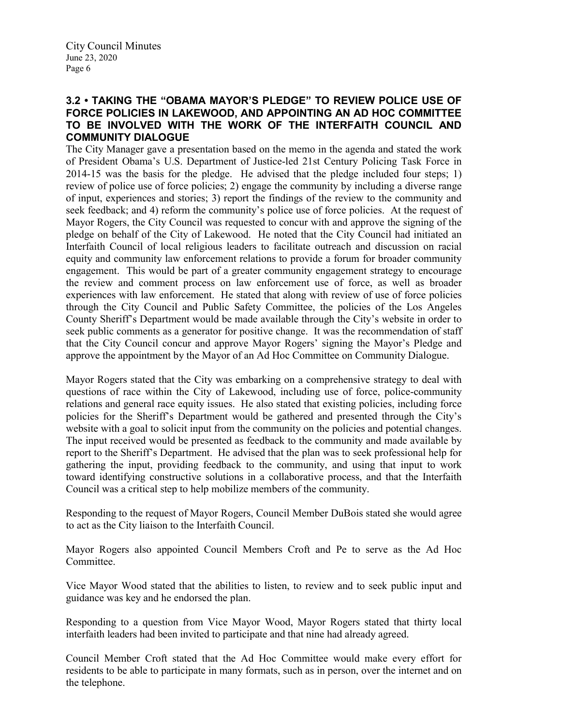#### **3.2 • TAKING THE "OBAMA MAYOR'S PLEDGE" TO REVIEW POLICE USE OF FORCE POLICIES IN LAKEWOOD, AND APPOINTING AN AD HOC COMMITTEE TO BE INVOLVED WITH THE WORK OF THE INTERFAITH COUNCIL AND COMMUNITY DIALOGUE**

The City Manager gave a presentation based on the memo in the agenda and stated the work of President Obama's U.S. Department of Justice-led 21st Century Policing Task Force in 2014-15 was the basis for the pledge. He advised that the pledge included four steps; 1) review of police use of force policies; 2) engage the community by including a diverse range of input, experiences and stories; 3) report the findings of the review to the community and seek feedback; and 4) reform the community's police use of force policies. At the request of Mayor Rogers, the City Council was requested to concur with and approve the signing of the pledge on behalf of the City of Lakewood. He noted that the City Council had initiated an Interfaith Council of local religious leaders to facilitate outreach and discussion on racial equity and community law enforcement relations to provide a forum for broader community engagement. This would be part of a greater community engagement strategy to encourage the review and comment process on law enforcement use of force, as well as broader experiences with law enforcement. He stated that along with review of use of force policies through the City Council and Public Safety Committee, the policies of the Los Angeles County Sheriff's Department would be made available through the City's website in order to seek public comments as a generator for positive change. It was the recommendation of staff that the City Council concur and approve Mayor Rogers' signing the Mayor's Pledge and approve the appointment by the Mayor of an Ad Hoc Committee on Community Dialogue.

Mayor Rogers stated that the City was embarking on a comprehensive strategy to deal with questions of race within the City of Lakewood, including use of force, police-community relations and general race equity issues. He also stated that existing policies, including force policies for the Sheriff's Department would be gathered and presented through the City's website with a goal to solicit input from the community on the policies and potential changes. The input received would be presented as feedback to the community and made available by report to the Sheriff's Department. He advised that the plan was to seek professional help for gathering the input, providing feedback to the community, and using that input to work toward identifying constructive solutions in a collaborative process, and that the Interfaith Council was a critical step to help mobilize members of the community.

Responding to the request of Mayor Rogers, Council Member DuBois stated she would agree to act as the City liaison to the Interfaith Council.

Mayor Rogers also appointed Council Members Croft and Pe to serve as the Ad Hoc Committee.

Vice Mayor Wood stated that the abilities to listen, to review and to seek public input and guidance was key and he endorsed the plan.

Responding to a question from Vice Mayor Wood, Mayor Rogers stated that thirty local interfaith leaders had been invited to participate and that nine had already agreed.

Council Member Croft stated that the Ad Hoc Committee would make every effort for residents to be able to participate in many formats, such as in person, over the internet and on the telephone.